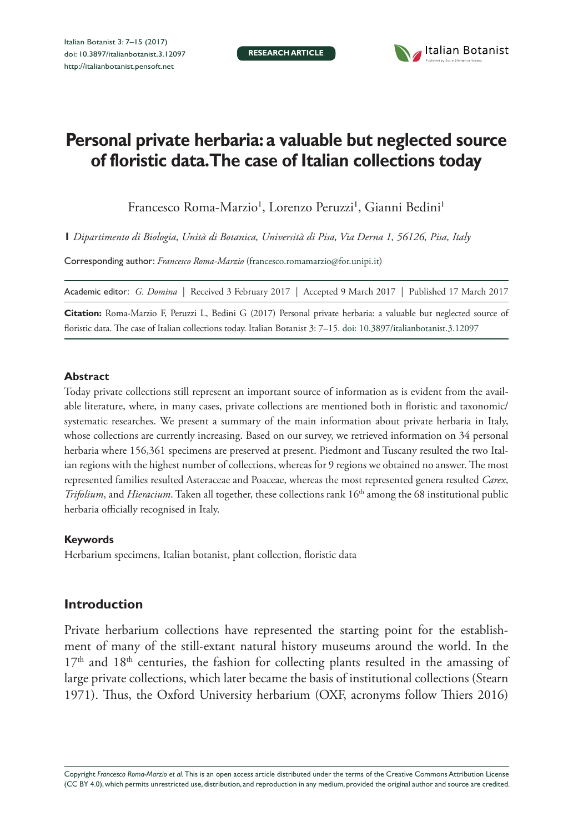**RESEARCH ARTICLE**



# **Personal private herbaria: a valuable but neglected source of floristic data. The case of Italian collections today**

Francesco Roma-Marzio', Lorenzo Peruzzi', Gianni Bedini'

**1** *Dipartimento di Biologia, Unità di Botanica, Università di Pisa, Via Derna 1, 56126, Pisa, Italy*

Corresponding author: *Francesco Roma-Marzio* ([francesco.romamarzio@for.unipi.it\)](mailto:francesco.romamarzio@for.unipi.it)

Academic editor: *G. Domina* | Received 3 February 2017 | Accepted 9 March 2017 | Published 17 March 2017

**Citation:** Roma-Marzio F, Peruzzi L, Bedini G (2017) Personal private herbaria: a valuable but neglected source of floristic data. The case of Italian collections today. Italian Botanist 3: 7–15. [doi: 10.3897/italianbotanist.3.12097](https://doi.org/10.3897/italianbotanist.3.12097)

#### **Abstract**

Today private collections still represent an important source of information as is evident from the available literature, where, in many cases, private collections are mentioned both in floristic and taxonomic/ systematic researches. We present a summary of the main information about private herbaria in Italy, whose collections are currently increasing. Based on our survey, we retrieved information on 34 personal herbaria where 156,361 specimens are preserved at present. Piedmont and Tuscany resulted the two Italian regions with the highest number of collections, whereas for 9 regions we obtained no answer. The most represented families resulted Asteraceae and Poaceae, whereas the most represented genera resulted *Carex*, *Trifolium*, and *Hieracium*. Taken all together, these collections rank 16<sup>th</sup> among the 68 institutional public herbaria officially recognised in Italy.

#### **Keywords**

Herbarium specimens, Italian botanist, plant collection, floristic data

## **Introduction**

Private herbarium collections have represented the starting point for the establishment of many of the still-extant natural history museums around the world. In the 17<sup>th</sup> and 18<sup>th</sup> centuries, the fashion for collecting plants resulted in the amassing of large private collections, which later became the basis of institutional collections (Stearn 1971). Thus, the Oxford University herbarium (OXF, acronyms follow Thiers 2016)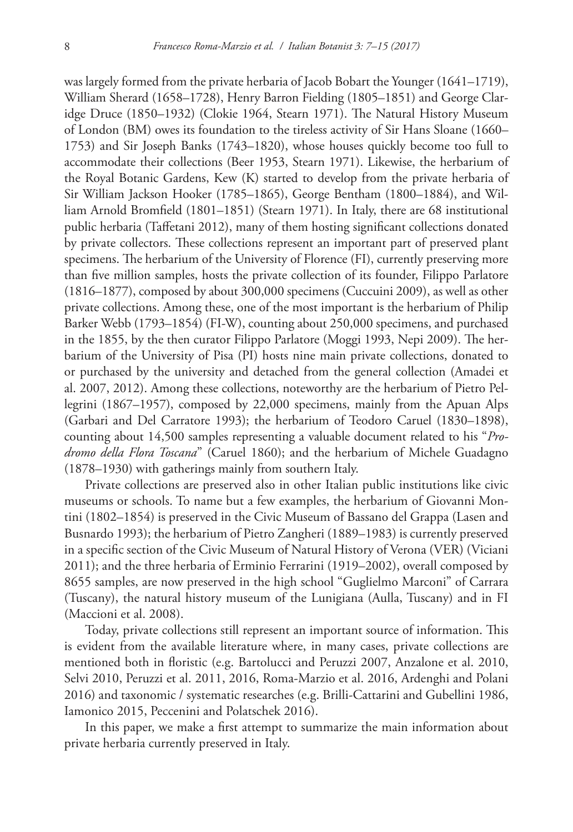was largely formed from the private herbaria of Jacob Bobart the Younger (1641–1719), William Sherard (1658–1728), Henry Barron Fielding (1805–1851) and George Claridge Druce (1850–1932) (Clokie 1964, Stearn 1971). The Natural History Museum of London (BM) owes its foundation to the tireless activity of Sir Hans Sloane (1660– 1753) and Sir Joseph Banks (1743–1820), whose houses quickly become too full to accommodate their collections (Beer 1953, Stearn 1971). Likewise, the herbarium of the Royal Botanic Gardens, Kew (K) started to develop from the private herbaria of Sir William Jackson Hooker (1785–1865), George Bentham (1800–1884), and William Arnold Bromfield (1801–1851) (Stearn 1971). In Italy, there are 68 institutional public herbaria (Taffetani 2012), many of them hosting significant collections donated by private collectors. These collections represent an important part of preserved plant specimens. The herbarium of the University of Florence (FI), currently preserving more than five million samples, hosts the private collection of its founder, Filippo Parlatore (1816–1877), composed by about 300,000 specimens (Cuccuini 2009), as well as other private collections. Among these, one of the most important is the herbarium of Philip Barker Webb (1793–1854) (FI-W), counting about 250,000 specimens, and purchased in the 1855, by the then curator Filippo Parlatore (Moggi 1993, Nepi 2009). The herbarium of the University of Pisa (PI) hosts nine main private collections, donated to or purchased by the university and detached from the general collection (Amadei et al. 2007, 2012). Among these collections, noteworthy are the herbarium of Pietro Pellegrini (1867–1957), composed by 22,000 specimens, mainly from the Apuan Alps (Garbari and Del Carratore 1993); the herbarium of Teodoro Caruel (1830–1898), counting about 14,500 samples representing a valuable document related to his "*Prodromo della Flora Toscana*" (Caruel 1860); and the herbarium of Michele Guadagno (1878–1930) with gatherings mainly from southern Italy.

Private collections are preserved also in other Italian public institutions like civic museums or schools. To name but a few examples, the herbarium of Giovanni Montini (1802–1854) is preserved in the Civic Museum of Bassano del Grappa (Lasen and Busnardo 1993); the herbarium of Pietro Zangheri (1889–1983) is currently preserved in a specific section of the Civic Museum of Natural History of Verona (VER) (Viciani 2011); and the three herbaria of Erminio Ferrarini (1919–2002), overall composed by 8655 samples, are now preserved in the high school "Guglielmo Marconi" of Carrara (Tuscany), the natural history museum of the Lunigiana (Aulla, Tuscany) and in FI (Maccioni et al. 2008).

Today, private collections still represent an important source of information. This is evident from the available literature where, in many cases, private collections are mentioned both in floristic (e.g. Bartolucci and Peruzzi 2007, Anzalone et al. 2010, Selvi 2010, Peruzzi et al. 2011, 2016, Roma-Marzio et al. 2016, Ardenghi and Polani 2016) and taxonomic / systematic researches (e.g. Brilli-Cattarini and Gubellini 1986, Iamonico 2015, Peccenini and Polatschek 2016).

In this paper, we make a first attempt to summarize the main information about private herbaria currently preserved in Italy.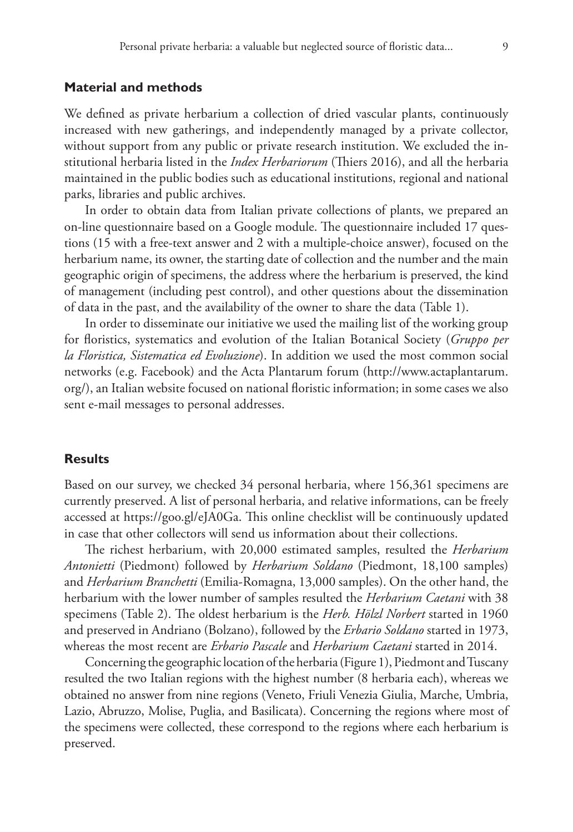We defined as private herbarium a collection of dried vascular plants, continuously increased with new gatherings, and independently managed by a private collector, without support from any public or private research institution. We excluded the institutional herbaria listed in the *Index Herbariorum* (Thiers 2016), and all the herbaria maintained in the public bodies such as educational institutions, regional and national parks, libraries and public archives.

In order to obtain data from Italian private collections of plants, we prepared an on-line questionnaire based on a Google module. The questionnaire included 17 questions (15 with a free-text answer and 2 with a multiple-choice answer), focused on the herbarium name, its owner, the starting date of collection and the number and the main geographic origin of specimens, the address where the herbarium is preserved, the kind of management (including pest control), and other questions about the dissemination of data in the past, and the availability of the owner to share the data (Table 1).

In order to disseminate our initiative we used the mailing list of the working group for floristics, systematics and evolution of the Italian Botanical Society (*Gruppo per la Floristica, Sistematica ed Evoluzione*). In addition we used the most common social networks (e.g. Facebook) and the Acta Plantarum forum ([http://www.actaplantarum.](http://www.actaplantarum.org/) [org/\)](http://www.actaplantarum.org/), an Italian website focused on national floristic information; in some cases we also sent e-mail messages to personal addresses.

## **Results**

Based on our survey, we checked 34 personal herbaria, where 156,361 specimens are currently preserved. A list of personal herbaria, and relative informations, can be freely accessed at [https://goo.gl/eJA0Ga.](https://goo.gl/eJA0Ga) This online checklist will be continuously updated in case that other collectors will send us information about their collections.

The richest herbarium, with 20,000 estimated samples, resulted the *Herbarium Antonietti* (Piedmont) followed by *Herbarium Soldano* (Piedmont, 18,100 samples) and *Herbarium Branchetti* (Emilia-Romagna, 13,000 samples). On the other hand, the herbarium with the lower number of samples resulted the *Herbarium Caetani* with 38 specimens (Table 2). The oldest herbarium is the *Herb. Hölzl Norbert* started in 1960 and preserved in Andriano (Bolzano), followed by the *Erbario Soldano* started in 1973, whereas the most recent are *Erbario Pascale* and *Herbarium Caetani* started in 2014.

Concerning the geographic location of the herbaria (Figure 1), Piedmont and Tuscany resulted the two Italian regions with the highest number (8 herbaria each), whereas we obtained no answer from nine regions (Veneto, Friuli Venezia Giulia, Marche, Umbria, Lazio, Abruzzo, Molise, Puglia, and Basilicata). Concerning the regions where most of the specimens were collected, these correspond to the regions where each herbarium is preserved.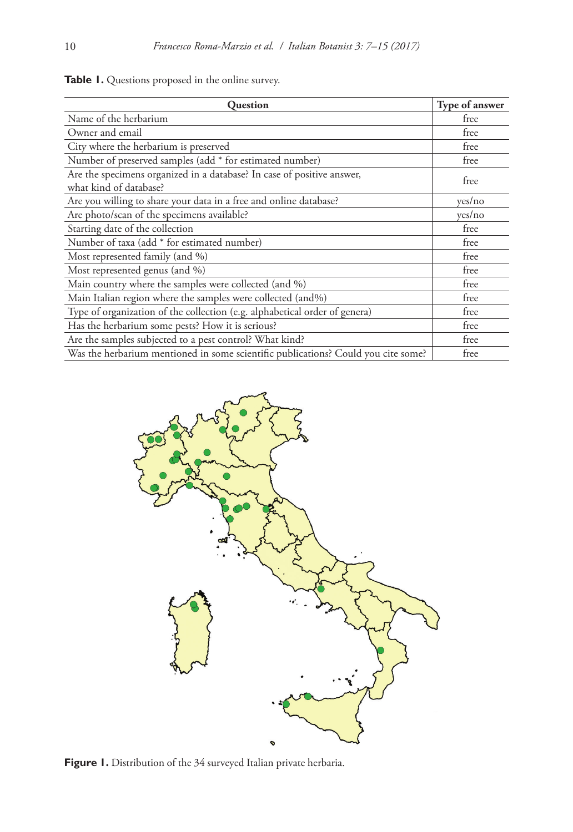| <b>Ouestion</b>                                                                                  | Type of answer |
|--------------------------------------------------------------------------------------------------|----------------|
| Name of the herbarium                                                                            | free           |
| Owner and email                                                                                  | free           |
| City where the herbarium is preserved                                                            | free           |
| Number of preserved samples (add * for estimated number)                                         | free           |
| Are the specimens organized in a database? In case of positive answer,<br>what kind of database? | free           |
| Are you willing to share your data in a free and online database?                                | yes/no         |
| Are photo/scan of the specimens available?                                                       | yes/no         |
| Starting date of the collection                                                                  | free           |
| Number of taxa (add * for estimated number)                                                      | free           |
| Most represented family (and %)                                                                  | free           |
| Most represented genus (and %)                                                                   | free           |
| Main country where the samples were collected (and %)                                            | free           |
| Main Italian region where the samples were collected (and%)                                      | free           |
| Type of organization of the collection (e.g. alphabetical order of genera)                       | free           |
| Has the herbarium some pests? How it is serious?                                                 | free           |
| Are the samples subjected to a pest control? What kind?                                          | free           |
| Was the herbarium mentioned in some scientific publications? Could you cite some?                | free           |





Figure 1. Distribution of the 34 surveyed Italian private herbaria.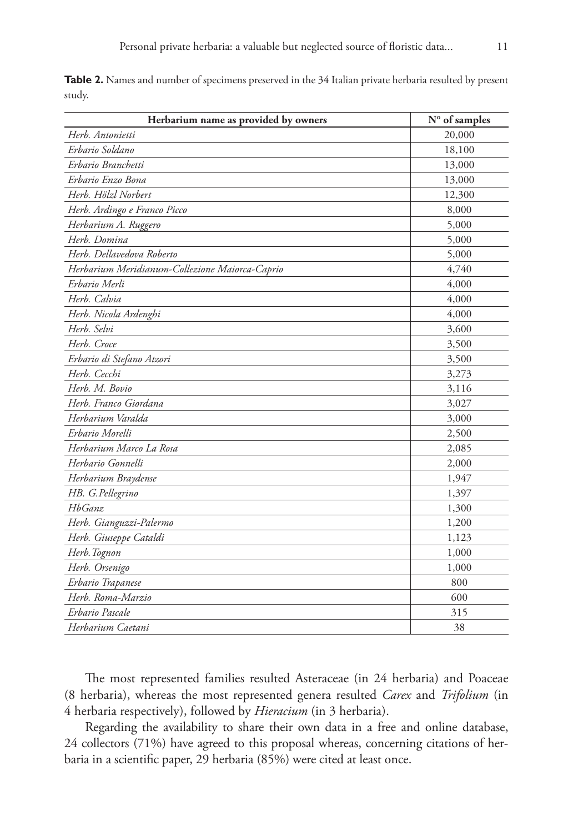|        |  | <b>Table 2.</b> Names and number of specimens preserved in the 34 Italian private herbaria resulted by present |  |  |  |  |  |
|--------|--|----------------------------------------------------------------------------------------------------------------|--|--|--|--|--|
| studv. |  |                                                                                                                |  |  |  |  |  |

| Herbarium name as provided by owners           | N° of samples |
|------------------------------------------------|---------------|
| Herb. Antonietti                               | 20,000        |
| Erbario Soldano                                | 18,100        |
| Erbario Branchetti                             | 13,000        |
| Erbario Enzo Bona                              | 13,000        |
| Herb. Hölzl Norbert                            | 12,300        |
| Herb. Ardingo e Franco Picco                   | 8,000         |
| Herbarium A. Ruggero                           | 5,000         |
| Herb. Domina                                   | 5,000         |
| Herb. Dellavedova Roberto                      | 5,000         |
| Herbarium Meridianum-Collezione Maiorca-Caprio | 4,740         |
| Erbario Merli                                  | 4,000         |
| Herb. Calvia                                   | 4,000         |
| Herb. Nicola Ardenghi                          | 4,000         |
| Herb. Selvi                                    | 3,600         |
| Herb. Croce                                    | 3,500         |
| Erbario di Stefano Atzori                      | 3,500         |
| Herb. Cecchi                                   | 3,273         |
| Herb. M. Bovio                                 | 3,116         |
| Herb. Franco Giordana                          | 3,027         |
| Herbarium Varalda                              | 3,000         |
| Erbario Morelli                                | 2,500         |
| Herbarium Marco La Rosa                        | 2,085         |
| Herbario Gonnelli                              | 2,000         |
| Herbarium Braydense                            | 1,947         |
| HB. G.Pellegrino                               | 1,397         |
| HbGanz                                         | 1,300         |
| Herb. Gianguzzi-Palermo                        | 1,200         |
| Herb. Giuseppe Cataldi                         | 1,123         |
| Herb. Tognon                                   | 1,000         |
| Herb. Orsenigo                                 | 1,000         |
| Erbario Trapanese                              | 800           |
| Herb. Roma-Marzio                              | 600           |
| Erbario Pascale                                | 315           |
| Herbarium Caetani                              | 38            |

The most represented families resulted Asteraceae (in 24 herbaria) and Poaceae (8 herbaria), whereas the most represented genera resulted *Carex* and *Trifolium* (in 4 herbaria respectively), followed by *Hieracium* (in 3 herbaria).

Regarding the availability to share their own data in a free and online database, 24 collectors (71%) have agreed to this proposal whereas, concerning citations of herbaria in a scientific paper, 29 herbaria (85%) were cited at least once.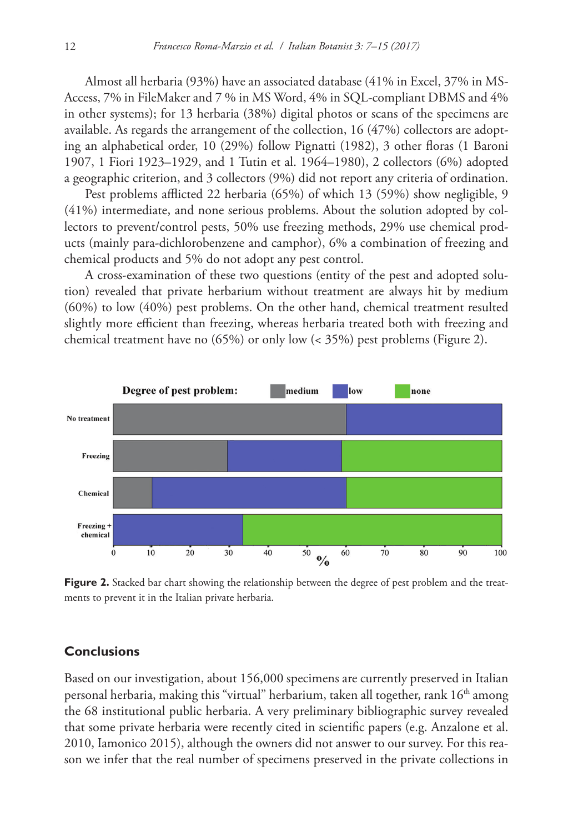Almost all herbaria (93%) have an associated database (41% in Excel, 37% in MS-Access, 7% in FileMaker and 7 % in MS Word, 4% in SQL-compliant DBMS and 4% in other systems); for 13 herbaria (38%) digital photos or scans of the specimens are available. As regards the arrangement of the collection, 16 (47%) collectors are adopting an alphabetical order, 10 (29%) follow Pignatti (1982), 3 other floras (1 Baroni 1907, 1 Fiori 1923–1929, and 1 Tutin et al. 1964–1980), 2 collectors (6%) adopted a geographic criterion, and 3 collectors (9%) did not report any criteria of ordination.

Pest problems afflicted 22 herbaria (65%) of which 13 (59%) show negligible, 9 (41%) intermediate, and none serious problems. About the solution adopted by collectors to prevent/control pests, 50% use freezing methods, 29% use chemical products (mainly para-dichlorobenzene and camphor), 6% a combination of freezing and chemical products and 5% do not adopt any pest control.

A cross-examination of these two questions (entity of the pest and adopted solution) revealed that private herbarium without treatment are always hit by medium (60%) to low (40%) pest problems. On the other hand, chemical treatment resulted slightly more efficient than freezing, whereas herbaria treated both with freezing and chemical treatment have no (65%) or only low (< 35%) pest problems (Figure 2).



**Figure 2.** Stacked bar chart showing the relationship between the degree of pest problem and the treatments to prevent it in the Italian private herbaria.

## **Conclusions**

Based on our investigation, about 156,000 specimens are currently preserved in Italian personal herbaria, making this "virtual" herbarium, taken all together, rank 16<sup>th</sup> among the 68 institutional public herbaria. A very preliminary bibliographic survey revealed that some private herbaria were recently cited in scientific papers (e.g. Anzalone et al. 2010, Iamonico 2015), although the owners did not answer to our survey. For this reason we infer that the real number of specimens preserved in the private collections in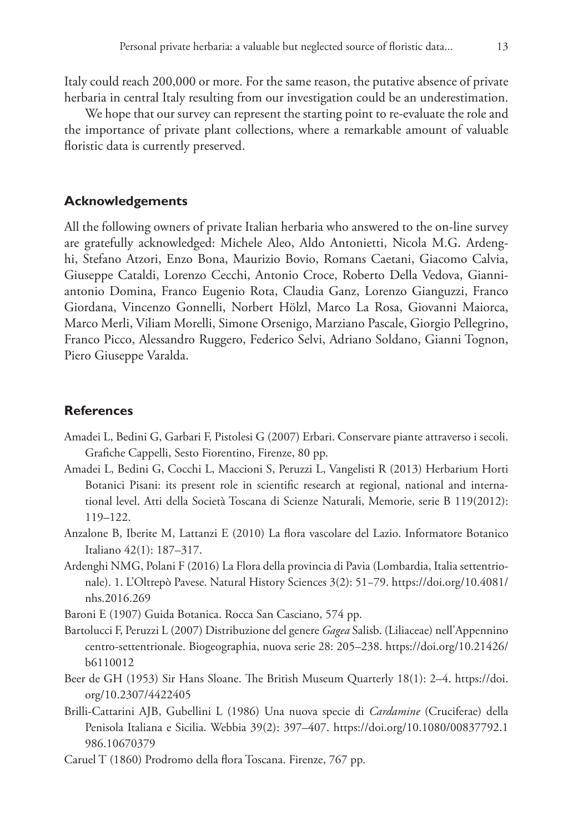Italy could reach 200,000 or more. For the same reason, the putative absence of private herbaria in central Italy resulting from our investigation could be an underestimation.

We hope that our survey can represent the starting point to re-evaluate the role and the importance of private plant collections, where a remarkable amount of valuable floristic data is currently preserved.

#### **Acknowledgements**

All the following owners of private Italian herbaria who answered to the on-line survey are gratefully acknowledged: Michele Aleo, Aldo Antonietti, Nicola M.G. Ardenghi, Stefano Atzori, Enzo Bona, Maurizio Bovio, Romans Caetani, Giacomo Calvia, Giuseppe Cataldi, Lorenzo Cecchi, Antonio Croce, Roberto Della Vedova, Gianniantonio Domina, Franco Eugenio Rota, Claudia Ganz, Lorenzo Gianguzzi, Franco Giordana, Vincenzo Gonnelli, Norbert Hölzl, Marco La Rosa, Giovanni Maiorca, Marco Merli, Viliam Morelli, Simone Orsenigo, Marziano Pascale, Giorgio Pellegrino, Franco Picco, Alessandro Ruggero, Federico Selvi, Adriano Soldano, Gianni Tognon, Piero Giuseppe Varalda.

### **References**

- Amadei L, Bedini G, Garbari F, Pistolesi G (2007) Erbari. Conservare piante attraverso i secoli. Grafiche Cappelli, Sesto Fiorentino, Firenze, 80 pp.
- Amadei L, Bedini G, Cocchi L, Maccioni S, Peruzzi L, Vangelisti R (2013) Herbarium Horti Botanici Pisani: its present role in scientific research at regional, national and international level. Atti della Società Toscana di Scienze Naturali, Memorie, serie B 119(2012): 119–122.
- Anzalone B, Iberite M, Lattanzi E (2010) La flora vascolare del Lazio. Informatore Botanico Italiano 42(1): 187–317.
- Ardenghi NMG, Polani F (2016) La Flora della provincia di Pavia (Lombardia, Italia settentrionale). 1. L'Oltrepò Pavese. Natural History Sciences 3(2): 51−79. [https://doi.org/10.4081/](https://doi.org/10.4081/nhs.2016.269) [nhs.2016.269](https://doi.org/10.4081/nhs.2016.269)

Baroni E (1907) Guida Botanica. Rocca San Casciano, 574 pp.

- Bartolucci F, Peruzzi L (2007) Distribuzione del genere *Gagea* Salisb. (Liliaceae) nell'Appennino centro-settentrionale. Biogeographia, nuova serie 28: 205–238. [https://doi.org/10.21426/](https://doi.org/10.21426/b6110012) [b6110012](https://doi.org/10.21426/b6110012)
- Beer de GH (1953) Sir Hans Sloane. The British Museum Quarterly 18(1): 2–4. [https://doi.](https://doi.org/10.2307/4422405) [org/10.2307/4422405](https://doi.org/10.2307/4422405)
- Brilli-Cattarini AJB, Gubellini L (1986) Una nuova specie di *Cardamine* (Cruciferae) della Penisola Italiana e Sicilia. Webbia 39(2): 397–407. [https://doi.org/10.1080/00837792.1](https://doi.org/10.1080/00837792.1986.10670379) [986.10670379](https://doi.org/10.1080/00837792.1986.10670379)
- Caruel T (1860) Prodromo della flora Toscana. Firenze, 767 pp.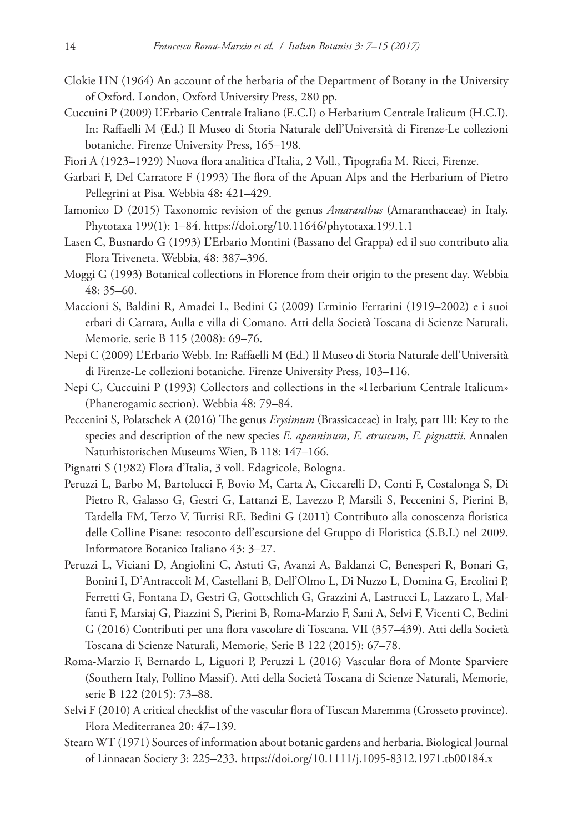- Clokie HN (1964) An account of the herbaria of the Department of Botany in the University of Oxford. London, Oxford University Press, 280 pp.
- Cuccuini P (2009) L'Erbario Centrale Italiano (E.C.I) o Herbarium Centrale Italicum (H.C.I). In: Raffaelli M (Ed.) Il Museo di Storia Naturale dell'Università di Firenze-Le collezioni botaniche. Firenze University Press, 165–198.
- Fiori A (1923–1929) Nuova flora analitica d'Italia, 2 Voll., Tipografia M. Ricci, Firenze.
- Garbari F, Del Carratore F (1993) The flora of the Apuan Alps and the Herbarium of Pietro Pellegrini at Pisa. Webbia 48: 421–429.
- Iamonico D (2015) Taxonomic revision of the genus *Amaranthus* (Amaranthaceae) in Italy. Phytotaxa 199(1): 1–84. <https://doi.org/10.11646/phytotaxa.199.1.1>
- Lasen C, Busnardo G (1993) L'Erbario Montini (Bassano del Grappa) ed il suo contributo alia Flora Triveneta. Webbia, 48: 387–396.
- Moggi G (1993) Botanical collections in Florence from their origin to the present day. Webbia 48: 35–60.
- Maccioni S, Baldini R, Amadei L, Bedini G (2009) Erminio Ferrarini (1919–2002) e i suoi erbari di Carrara, Aulla e villa di Comano. Atti della Società Toscana di Scienze Naturali, Memorie, serie B 115 (2008): 69–76.
- Nepi C (2009) L'Erbario Webb. In: Raffaelli M (Ed.) Il Museo di Storia Naturale dell'Università di Firenze-Le collezioni botaniche. Firenze University Press, 103–116.
- Nepi C, Cuccuini P (1993) Collectors and collections in the «Herbarium Centrale Italicum» (Phanerogamic section). Webbia 48: 79–84.
- Peccenini S, Polatschek A (2016) The genus *Erysimum* (Brassicaceae) in Italy, part III: Key to the species and description of the new species *E. apenninum*, *E. etruscum*, *E. pignattii*. Annalen Naturhistorischen Museums Wien, B 118: 147–166.
- Pignatti S (1982) Flora d'Italia, 3 voll. Edagricole, Bologna.
- Peruzzi L, Barbo M, Bartolucci F, Bovio M, Carta A, Ciccarelli D, Conti F, Costalonga S, Di Pietro R, Galasso G, Gestri G, Lattanzi E, Lavezzo P, Marsili S, Peccenini S, Pierini B, Tardella FM, Terzo V, Turrisi RE, Bedini G (2011) Contributo alla conoscenza floristica delle Colline Pisane: resoconto dell'escursione del Gruppo di Floristica (S.B.I.) nel 2009. Informatore Botanico Italiano 43: 3–27.
- Peruzzi L, Viciani D, Angiolini C, Astuti G, Avanzi A, Baldanzi C, Benesperi R, Bonari G, Bonini I, D'Antraccoli M, Castellani B, Dell'Olmo L, Di Nuzzo L, Domina G, Ercolini P, Ferretti G, Fontana D, Gestri G, Gottschlich G, Grazzini A, Lastrucci L, Lazzaro L, Malfanti F, Marsiaj G, Piazzini S, Pierini B, Roma-Marzio F, Sani A, Selvi F, Vicenti C, Bedini G (2016) Contributi per una flora vascolare di Toscana. VII (357–439). Atti della Società Toscana di Scienze Naturali, Memorie, Serie B 122 (2015): 67–78.
- Roma-Marzio F, Bernardo L, Liguori P, Peruzzi L (2016) Vascular flora of Monte Sparviere (Southern Italy, Pollino Massif). Atti della Società Toscana di Scienze Naturali, Memorie, serie B 122 (2015): 73–88.
- Selvi F (2010) A critical checklist of the vascular flora of Tuscan Maremma (Grosseto province). Flora Mediterranea 20: 47–139.
- Stearn WT (1971) Sources of information about botanic gardens and herbaria. Biological Journal of Linnaean Society 3: 225–233. <https://doi.org/10.1111/j.1095-8312.1971.tb00184.x>